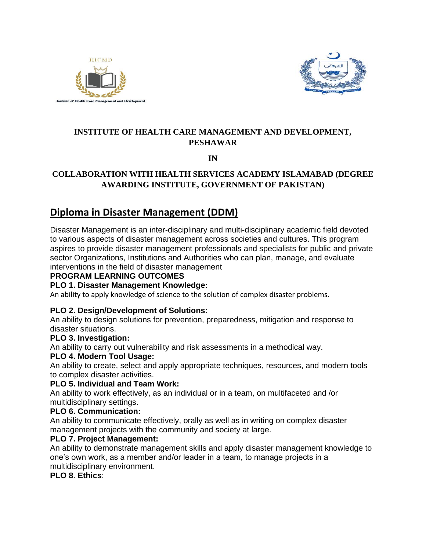



# **INSTITUTE OF HEALTH CARE MANAGEMENT AND DEVELOPMENT, PESHAWAR**

**IN**

# **COLLABORATION WITH HEALTH SERVICES ACADEMY ISLAMABAD (DEGREE AWARDING INSTITUTE, GOVERNMENT OF PAKISTAN)**

# **Diploma in Disaster Management (DDM)**

Disaster Management is an inter-disciplinary and multi-disciplinary academic field devoted to various aspects of disaster management across societies and cultures. This program aspires to provide disaster management professionals and specialists for public and private sector Organizations, Institutions and Authorities who can plan, manage, and evaluate interventions in the field of disaster management

#### **PROGRAM LEARNING OUTCOMES**

## **PLO 1. Disaster Management Knowledge:**

An ability to apply knowledge of science to the solution of complex disaster problems.

#### **PLO 2. Design/Development of Solutions:**

An ability to design solutions for prevention, preparedness, mitigation and response to disaster situations.

#### **PLO 3. Investigation:**

An ability to carry out vulnerability and risk assessments in a methodical way.

#### **PLO 4. Modern Tool Usage:**

An ability to create, select and apply appropriate techniques, resources, and modern tools to complex disaster activities.

#### **PLO 5. Individual and Team Work:**

An ability to work effectively, as an individual or in a team, on multifaceted and /or multidisciplinary settings.

## **PLO 6. Communication:**

An ability to communicate effectively, orally as well as in writing on complex disaster management projects with the community and society at large.

## **PLO 7. Project Management:**

An ability to demonstrate management skills and apply disaster management knowledge to one's own work, as a member and/or leader in a team, to manage projects in a multidisciplinary environment.

## **PLO 8**. **Ethics**: